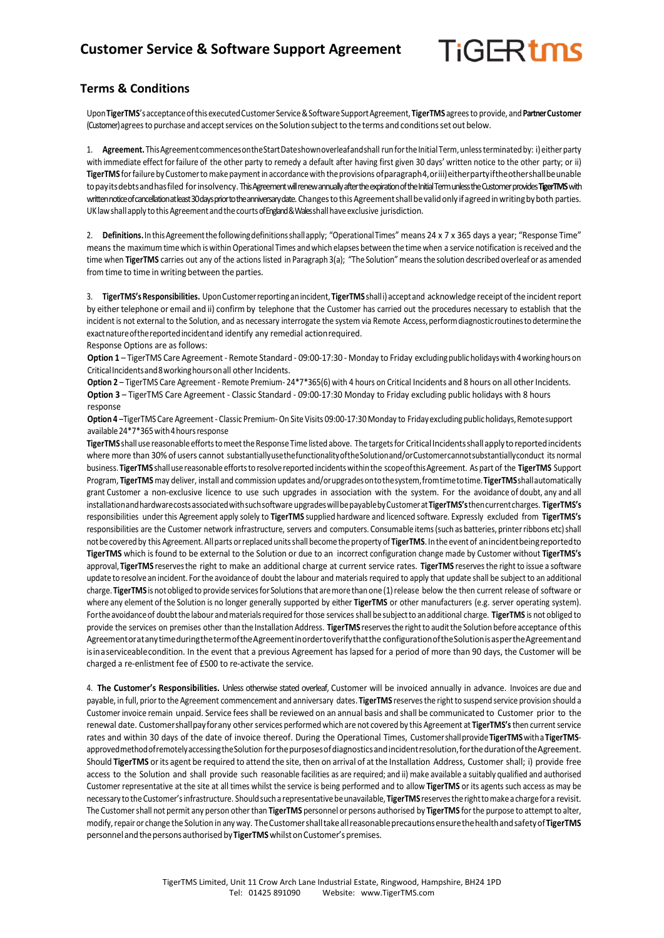## **TiGERtms**

## **Terms & Conditions**

Upon**TigerTMS**'sacceptanceofthisexecutedCustomer Service&SoftwareSupportAgreement, **TigerTMS** agreesto provide, and**Partner Customer** (Customer) agrees to purchase and accept services on the Solution subject to the terms and conditions set out below.

1. Agreement. This Agreement commences on the Start Dateshown overleafandshall run for the Initial Term, unless terminated by: i) either party with immediate effect forfailure of the other party to remedy a default after having first given 30 days' written notice to the other party; or ii) TigerTMS for failure by Customer to make payment in accordance with the provisions of paragraph4, oriii) either party if the other shall be unable topayitsdebtsandhasfiled forinsolvency. This Agreement will renew annually after the expiration of the Initial Term unless the Customer provides **TigerTMS**with written notice of cancellation at least 30 days prior to the anniversary date. Changes to this Agreement shall be valid only if agreed in writing by both parties. UK law shall apply to this Agreement and the courts of England & Wales shall have exclusive jurisdiction.

2. Definitions. In this Agreement the following definitions shall apply; "Operational Times" means 24 x 7 x 365 days a year; "Response Time" means the maximum timewhich is withinOperational Times andwhich elapses between the time when a service notification isreceived and the time when TigerTMS carries out any of the actions listed in Paragraph 3(a); "The Solution" means the solution described overleaf or as amended from time to time in writing between the parties.

3. **TigerTMS'sResponsibilities.** UponCustomerreportinganincident, **TigerTMS** shalli) acceptand acknowledge receipt ofthe incidentreport by either telephone or email and ii) confirm by telephone that the Customer has carried out the procedures necessary to establish that the incident is not external to the Solution, and as necessary interrogate the system via Remote Access, perform diagnostic routines to determine the exactnatureofthereportedincidentand identify any remedial actionrequired. Response Options are as follows:

**Option 1** – TigerTMS Care Agreement - Remote Standard - 09:00-17:30 - Monday to Friday excludingpublicholidayswith4workinghours on Critical Incidents and 8 working hours on all other Incidents.

Option 2 – TigerTMS Care Agreement - Remote Premium- 24\*7\*365(6) with 4 hours on Critical Incidents and 8 hours on all other Incidents. **Option 3** – TigerTMS Care Agreement - Classic Standard - 09:00-17:30 Monday to Friday excluding public holidays with 8 hours response

**Option 4** –TigerTMS Care Agreement- Classic Premium-On Site Visits 09:00-17:30 Monday to Fridayexcludingpublicholidays,Remotesupport available 24\*7\*365 with 4 hours response

**TigerTMS** shallusereasonableeffortstomeetthe ResponseTime listed above. The targetsfor CriticalIncidentsshallapply toreportedincidents where more than 30% of users cannot substantiallyusethefunctionalityoftheSolutionand/orCustomercannotsubstantiallyconduct its normal business. **TigerTMS** shallusereasonable effortsto resolvereported incidentswithinthe scopeofthisAgreement. As part of the **TigerTMS** Support Program, **TigerTMS** may deliver, install and commission updates and/orupgradesontothesystem,fromtimetotime.**TigerTMS**shallautomatically grant Customer a non-exclusive licence to use such upgrades in association with the system. For the avoidance of doubt, any and all installationandhardwarecostsassociatedwithsuchsoftware upgradeswillbepayablebyCustomerat**TigerTMS's**thencurrentcharges. **TigerTMS's** responsibilities under this Agreement apply solely to **TigerTMS** supplied hardware and licenced software. Expressly excluded from **TigerTMS's** responsibilities are the Customer network infrastructure, servers and computers. Consumable items(such as batteries, printerribbons etc)shall notbecoveredby this Agreement. Allparts orreplaced unitsshall become the property of **TigerTMS**. In the eventof anincidentbeingreportedto **TigerTMS** which isfound to be external to the Solution or due to an incorrect configuration change made by Customer without **TigerTMS's** approval, **TigerTMS** reservesthe right to make an additional charge at current service rates. **TigerTMS** reservesthe right to issue a software update to resolve an incident. Forthe avoidance of doubt the labour and materials required to apply that update shall be subject to an additional charge. TigerTMS is not obliged to provide services for Solutions that are more than one (1) release below the then current release of software or where any element of the Solution is no longer generally supported by either **TigerTMS** or other manufacturers (e.g. server operating system). For the avoidance of doubt the labour and materials required for those services shall be subject to an additional charge. TigerTMS is not obliged to provide the services on premises other than the Installation Address. **TigerTMS** reservesthe rightto auditthe Solution before acceptance ofthis AgreementoratanytimeduringthetermoftheAgreementinordertoverifythatthe configurationoftheSolutionisaspertheAgreementand isinaserviceablecondition. In the event that a previous Agreement has lapsed for a period of more than 90 days, the Customer will be charged a re-enlistment fee of £500 to re-activate the service.

4. **The Customer's Responsibilities.** Unless otherwise stated overleaf, Customer will be invoiced annually in advance. Invoices are due and payable, in full, priorto the Agreement commencement and anniversary dates. **TigerTMS** reservesthe rightto suspend service provision should a Customer invoice remain unpaid. Service feesshall be reviewed on an annual basis and shall be communicated to Customer prior to the renewal date. Customershallpayforany other services performed which are not covered by this Agreement at **TigerTMS's**then currentservice rates and within 30 days of the date of invoice thereof. During the Operational Times, Customershallprovide**TigerTMS**witha **TigerTMS**approved methodofremotely accessing the Solution for the purposes of diagnostics and incident resolution, for the duration of the Agreement. Should **TigerTMS** or its agent be required to attend the site, then on arrival of atthe Installation Address, Customer shall; i) provide free access to the Solution and shall provide such reasonable facilities as are required; and ii) make available a suitably qualified and authorised Customer representative at the site at all times whilst the service is being performed and to allow **TigerTMS** or its agents such access as may be necessary to the Customer's infrastructure. Should such a representative be unavailable, TigerTMS reserves the right to make a charge for a revisit. The Customer shall not permit any person other than TigerTMS personnel or persons authorised by TigerTMS for the purpose to attempt to alter, modify, repair or change the Solution in any way. The Customer shall take all reasonable precautions ensure the health and safety of TigerTMS personnel and the persons authorised by TigerTMS whilst on Customer's premises.